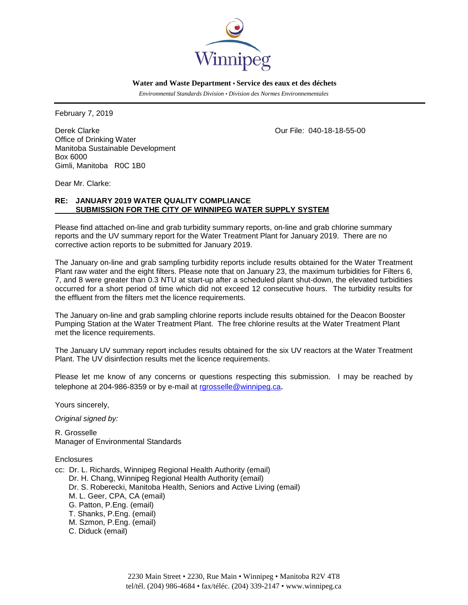

 **Water and Waste Department • Service des eaux et des déchets**

 *Environmental Standards Division • Division des Normes Environnementales*

February 7, 2019

Derek Clarke Clarke Clarke Clarke Clarke Clarke Clarke Clarke Clarke Clarke Clarke Clarke Clarke Clarke Clarke Office of Drinking Water Manitoba Sustainable Development Box 6000 Gimli, Manitoba R0C 1B0

Dear Mr. Clarke:

# **RE: JANUARY 2019 WATER QUALITY COMPLIANCE SUBMISSION FOR THE CITY OF WINNIPEG WATER SUPPLY SYSTEM**

Please find attached on-line and grab turbidity summary reports, on-line and grab chlorine summary reports and the UV summary report for the Water Treatment Plant for January 2019. There are no corrective action reports to be submitted for January 2019.

The January on-line and grab sampling turbidity reports include results obtained for the Water Treatment Plant raw water and the eight filters. Please note that on January 23, the maximum turbidities for Filters 6, 7, and 8 were greater than 0.3 NTU at start-up after a scheduled plant shut-down, the elevated turbidities occurred for a short period of time which did not exceed 12 consecutive hours. The turbidity results for the effluent from the filters met the licence requirements.

The January on-line and grab sampling chlorine reports include results obtained for the Deacon Booster Pumping Station at the Water Treatment Plant. The free chlorine results at the Water Treatment Plant met the licence requirements.

The January UV summary report includes results obtained for the six UV reactors at the Water Treatment Plant. The UV disinfection results met the licence requirements.

Please let me know of any concerns or questions respecting this submission. I may be reached by telephone at 204-986-8359 or by e-mail at [rgrosselle@winnipeg.ca](mailto:rgrosselle@winnipeg.ca).

Yours sincerely,

*Original signed by:*

R. Grosselle Manager of Environmental Standards

**Enclosures** 

cc: Dr. L. Richards, Winnipeg Regional Health Authority (email) Dr. H. Chang, Winnipeg Regional Health Authority (email) Dr. S. Roberecki, Manitoba Health, Seniors and Active Living (email) M. L. Geer, CPA, CA (email) G. Patton, P.Eng. (email) T. Shanks, P.Eng. (email) M. Szmon, P.Eng. (email) C. Diduck (email)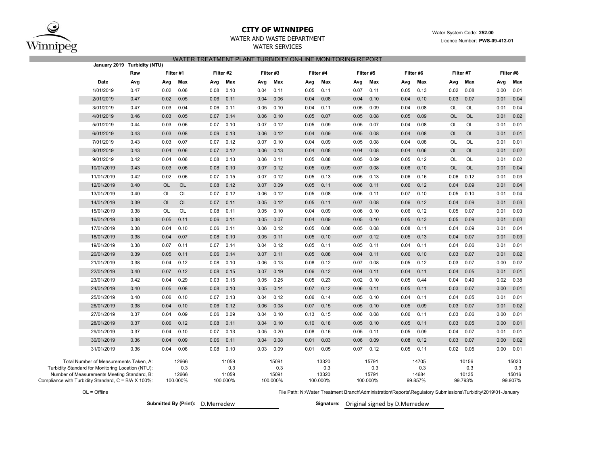

## **CITY OF WINNIPEG**WATER AND WASTE DEPARTMENT

# WATER SERVICESWATER TREATMENT PLANT TURBIDITY ON-LINE MONITORING REPORT

| Raw<br>Date<br>Avg<br>1/01/2019<br>0.47<br>0.47<br>2/01/2019<br>3/01/2019<br>0.47<br>4/01/2019<br>0.46<br>5/01/2019<br>0.44<br>6/01/2019<br>0.43<br>7/01/2019<br>0.43<br>8/01/2019<br>0.43<br>9/01/2019<br>0.42<br>10/01/2019<br>0.43<br>11/01/2019<br>0.42<br>12/01/2019<br>0.40<br>13/01/2019<br>0.40<br>14/01/2019<br>0.39<br>0.38<br>15/01/2019<br>16/01/2019<br>0.38<br>17/01/2019<br>0.38<br>18/01/2019<br>0.38<br>19/01/2019<br>0.38<br>20/01/2019<br>0.39<br>21/01/2019<br>0.38<br>22/01/2019<br>0.40 | Avg<br>0.02<br>0.02<br>0.03<br>0.03<br>0.03<br>0.03<br>0.03<br>0.04<br>0.04 | Filter #1<br>Max<br>0.06<br>0.05<br>0.04<br>0.05<br>0.06<br>0.08<br>0.07 | Filter #2<br>Avg<br>0.08<br>0.06<br>0.06<br>0.07<br>0.07<br>0.09 | Max<br>0.10<br>0.11<br>0.11<br>0.14<br>0.10 | Filter #3<br>Avg<br>0.04<br>0.04<br>0.05<br>0.06 | Max<br>0.11<br>0.06<br>0.10       | Avg<br>0.05<br>0.04<br>0.04 | Filter #4<br>Max<br>0.11<br>0.08  | Filter #5<br>Avg<br>0.07 | Max<br>0.11                       | Avg<br>0.05 | Filter #6<br>Max<br>0.13         | Avg<br>0.02                                                                                                  | Filter #7<br>Max<br>0.08         | Avg  | Filter #8<br>Max                 |
|---------------------------------------------------------------------------------------------------------------------------------------------------------------------------------------------------------------------------------------------------------------------------------------------------------------------------------------------------------------------------------------------------------------------------------------------------------------------------------------------------------------|-----------------------------------------------------------------------------|--------------------------------------------------------------------------|------------------------------------------------------------------|---------------------------------------------|--------------------------------------------------|-----------------------------------|-----------------------------|-----------------------------------|--------------------------|-----------------------------------|-------------|----------------------------------|--------------------------------------------------------------------------------------------------------------|----------------------------------|------|----------------------------------|
|                                                                                                                                                                                                                                                                                                                                                                                                                                                                                                               |                                                                             |                                                                          |                                                                  |                                             |                                                  |                                   |                             |                                   |                          |                                   |             |                                  |                                                                                                              |                                  |      |                                  |
|                                                                                                                                                                                                                                                                                                                                                                                                                                                                                                               |                                                                             |                                                                          |                                                                  |                                             |                                                  |                                   |                             |                                   |                          |                                   |             |                                  |                                                                                                              |                                  |      |                                  |
|                                                                                                                                                                                                                                                                                                                                                                                                                                                                                                               |                                                                             |                                                                          |                                                                  |                                             |                                                  |                                   |                             |                                   |                          |                                   |             |                                  |                                                                                                              |                                  | 0.00 | 0.01                             |
|                                                                                                                                                                                                                                                                                                                                                                                                                                                                                                               |                                                                             |                                                                          |                                                                  |                                             |                                                  |                                   |                             |                                   | 0.04                     | 0.10                              | 0.04        | 0.10                             | 0.03                                                                                                         | 0.07                             | 0.01 | 0.04                             |
|                                                                                                                                                                                                                                                                                                                                                                                                                                                                                                               |                                                                             |                                                                          |                                                                  |                                             |                                                  |                                   |                             | 0.11                              | 0.05                     | 0.09                              | 0.04        | 0.08                             | <b>OL</b>                                                                                                    | OL                               | 0.01 | 0.04                             |
|                                                                                                                                                                                                                                                                                                                                                                                                                                                                                                               |                                                                             |                                                                          |                                                                  |                                             |                                                  | 0.10                              | 0.05                        | 0.07                              | 0.05                     | 0.08                              | 0.05        | 0.09                             | <b>OL</b>                                                                                                    | <b>OL</b>                        | 0.01 | 0.02                             |
|                                                                                                                                                                                                                                                                                                                                                                                                                                                                                                               |                                                                             |                                                                          |                                                                  |                                             | 0.07                                             | 0.12                              | 0.05                        | 0.09                              | 0.05                     | 0.07                              | 0.04        | 0.08                             | <b>OL</b>                                                                                                    | OL                               | 0.01 | 0.01                             |
|                                                                                                                                                                                                                                                                                                                                                                                                                                                                                                               |                                                                             |                                                                          |                                                                  | 0.13                                        | 0.06                                             | 0.12                              | 0.04                        | 0.09                              | 0.05                     | 0.08                              | 0.04        | 0.08                             | <b>OL</b>                                                                                                    | <b>OL</b>                        | 0.01 | 0.01                             |
|                                                                                                                                                                                                                                                                                                                                                                                                                                                                                                               |                                                                             |                                                                          | 0.07                                                             | 0.12                                        | 0.07                                             | 0.10                              | 0.04                        | 0.09                              | 0.05                     | 0.08                              | 0.04        | 0.08                             | OL                                                                                                           | OL                               | 0.01 | 0.01                             |
|                                                                                                                                                                                                                                                                                                                                                                                                                                                                                                               |                                                                             | 0.06                                                                     | 0.07                                                             | 0.12                                        | 0.06                                             | 0.13                              | 0.04                        | 0.08                              | 0.04                     | 0.08                              | 0.04        | 0.06                             | <b>OL</b>                                                                                                    | <b>OL</b>                        | 0.01 | 0.02                             |
|                                                                                                                                                                                                                                                                                                                                                                                                                                                                                                               |                                                                             | 0.06                                                                     | 0.08                                                             | 0.13                                        | 0.06                                             | 0.11                              | 0.05                        | 0.08                              | 0.05                     | 0.09                              | 0.05        | 0.12                             | <b>OL</b>                                                                                                    | OL                               | 0.01 | 0.02                             |
|                                                                                                                                                                                                                                                                                                                                                                                                                                                                                                               | 0.03                                                                        | 0.06                                                                     | 0.08                                                             | 0.10                                        | 0.07                                             | 0.12                              | 0.05                        | 0.09                              | 0.07                     | 0.08                              | 0.06        | 0.10                             | <b>OL</b>                                                                                                    | OL                               | 0.01 | 0.04                             |
|                                                                                                                                                                                                                                                                                                                                                                                                                                                                                                               | 0.02                                                                        | 0.06                                                                     | 0.07                                                             | 0.15                                        | 0.07                                             | 0.12                              | 0.05                        | 0.13                              | 0.05                     | 0.13                              | 0.06        | 0.16                             | 0.06                                                                                                         | 0.12                             | 0.01 | 0.03                             |
|                                                                                                                                                                                                                                                                                                                                                                                                                                                                                                               | <b>OL</b>                                                                   | <b>OL</b>                                                                | 0.08                                                             | 0.12                                        | 0.07                                             | 0.09                              | 0.05                        | 0.11                              | 0.06                     | 0.11                              | 0.06        | 0.12                             | 0.04                                                                                                         | 0.09                             | 0.01 | 0.04                             |
|                                                                                                                                                                                                                                                                                                                                                                                                                                                                                                               | <b>OL</b>                                                                   | OL                                                                       | 0.07                                                             | 0.12                                        | 0.06                                             | 0.12                              | 0.05                        | 0.08                              | 0.06                     | 0.11                              | 0.07        | 0.10                             | 0.05                                                                                                         | 0.10                             | 0.01 | 0.04                             |
|                                                                                                                                                                                                                                                                                                                                                                                                                                                                                                               | <b>OL</b>                                                                   | <b>OL</b>                                                                | 0.07                                                             | 0.11                                        | 0.05                                             | 0.12                              | 0.05                        | 0.11                              | 0.07                     | 0.08                              | 0.06        | 0.12                             | 0.04                                                                                                         | 0.09                             | 0.01 | 0.03                             |
|                                                                                                                                                                                                                                                                                                                                                                                                                                                                                                               | OL                                                                          | <b>OL</b>                                                                | 0.08                                                             | 0.11                                        | 0.05                                             | 0.10                              | 0.04                        | 0.09                              | 0.06                     | 0.10                              | 0.06        | 0.12                             | 0.05                                                                                                         | 0.07                             | 0.01 | 0.03                             |
|                                                                                                                                                                                                                                                                                                                                                                                                                                                                                                               | 0.05                                                                        | 0.11                                                                     | 0.06                                                             | 0.11                                        | 0.05                                             | 0.07                              | 0.04                        | 0.09                              | 0.05                     | 0.10                              | 0.05        | 0.13                             | 0.05                                                                                                         | 0.09                             | 0.01 | 0.03                             |
|                                                                                                                                                                                                                                                                                                                                                                                                                                                                                                               | 0.04                                                                        | 0.10                                                                     | 0.06                                                             | 0.11                                        | 0.06                                             | 0.12                              | 0.05                        | 0.08                              | 0.05                     | 0.08                              | 0.08        | 0.11                             | 0.04                                                                                                         | 0.09                             | 0.01 | 0.04                             |
|                                                                                                                                                                                                                                                                                                                                                                                                                                                                                                               | 0.04                                                                        | 0.07                                                                     | 0.08                                                             | 0.10                                        | 0.05                                             | 0.11                              | 0.05                        | 0.10                              | 0.07                     | 0.12                              | 0.05        | 0.13                             | 0.04                                                                                                         | 0.07                             | 0.01 | 0.03                             |
|                                                                                                                                                                                                                                                                                                                                                                                                                                                                                                               | 0.07                                                                        | 0.11                                                                     | 0.07                                                             | 0.14                                        | 0.04                                             | 0.12                              | 0.05                        | 0.11                              | 0.05                     | 0.11                              | 0.04        | 0.11                             | 0.04                                                                                                         | 0.06                             | 0.01 | 0.01                             |
|                                                                                                                                                                                                                                                                                                                                                                                                                                                                                                               | 0.05                                                                        | 0.11                                                                     | 0.06                                                             | 0.14                                        | 0.07                                             | 0.11                              | 0.05                        | 0.08                              | 0.04                     | 0.11                              | 0.06        | 0.10                             | 0.03                                                                                                         | 0.07                             | 0.01 | 0.02                             |
|                                                                                                                                                                                                                                                                                                                                                                                                                                                                                                               | 0.04                                                                        | 0.12                                                                     | 0.08                                                             | 0.10                                        | 0.06                                             | 0.13                              | 0.08                        | 0.12                              | 0.07                     | 0.08                              | 0.05        | 0.12                             | 0.03                                                                                                         | 0.07                             | 0.00 | 0.02                             |
|                                                                                                                                                                                                                                                                                                                                                                                                                                                                                                               | 0.07                                                                        | 0.12                                                                     | 0.08                                                             | 0.15                                        | 0.07                                             | 0.19                              | 0.06                        | 0.12                              | 0.04                     | 0.11                              | 0.04        | 0.11                             | 0.04                                                                                                         | 0.05                             | 0.01 | 0.01                             |
| 23/01/2019<br>0.42                                                                                                                                                                                                                                                                                                                                                                                                                                                                                            | 0.04                                                                        | 0.29                                                                     | 0.03                                                             | 0.15                                        | 0.05                                             | 0.25                              | 0.05                        | 0.23                              | 0.02                     | 0.10                              | 0.05        | 0.44                             | 0.04                                                                                                         | 0.49                             | 0.02 | 0.38                             |
| 24/01/2019<br>0.40                                                                                                                                                                                                                                                                                                                                                                                                                                                                                            | 0.05                                                                        | 0.08                                                                     | 0.08                                                             | 0.10                                        | 0.05                                             | 0.14                              | 0.07                        | 0.12                              | 0.06                     | 0.11                              | 0.05        | 0.11                             | 0.03                                                                                                         | 0.07                             | 0.00 | 0.01                             |
| 25/01/2019<br>0.40                                                                                                                                                                                                                                                                                                                                                                                                                                                                                            | 0.06                                                                        | 0.10                                                                     | 0.07                                                             | 0.13                                        | 0.04                                             | 0.12                              | 0.06                        | 0.14                              | 0.05                     | 0.10                              | 0.04        | 0.11                             | 0.04                                                                                                         | 0.05                             | 0.01 | 0.01                             |
| 26/01/2019<br>0.38                                                                                                                                                                                                                                                                                                                                                                                                                                                                                            | 0.04                                                                        | 0.10                                                                     | 0.06                                                             | 0.12                                        | 0.06                                             | 0.08                              | 0.07                        | 0.15                              | 0.05                     | 0.10                              | 0.05        | 0.09                             | 0.03                                                                                                         | 0.07                             | 0.01 | 0.02                             |
| 27/01/2019<br>0.37                                                                                                                                                                                                                                                                                                                                                                                                                                                                                            | 0.04                                                                        | 0.09                                                                     | 0.06                                                             | 0.09                                        | 0.04                                             | 0.10                              | 0.13                        | 0.15                              | 0.06                     | 0.08                              | 0.06        | 0.11                             | 0.03                                                                                                         | 0.06                             | 0.00 | 0.01                             |
| 28/01/2019<br>0.37                                                                                                                                                                                                                                                                                                                                                                                                                                                                                            | 0.06                                                                        | 0.12                                                                     | 0.08                                                             | 0.11                                        | 0.04                                             | 0.10                              | 0.10                        | 0.18                              | 0.05                     | 0.10                              | 0.05        | 0.11                             | 0.03                                                                                                         | 0.05                             | 0.00 | 0.01                             |
| 29/01/2019<br>0.37                                                                                                                                                                                                                                                                                                                                                                                                                                                                                            | 0.04                                                                        | 0.10                                                                     | 0.07                                                             | 0.13                                        | 0.05                                             | 0.20                              | 0.08                        | 0.16                              | 0.05                     | 0.11                              | 0.05        | 0.09                             | 0.04                                                                                                         | 0.07                             | 0.01 | 0.01                             |
| 30/01/2019<br>0.36                                                                                                                                                                                                                                                                                                                                                                                                                                                                                            | 0.04                                                                        | 0.09                                                                     | 0.06                                                             | 0.11                                        | 0.04                                             | 0.08                              | 0.01                        | 0.03                              | 0.06                     | 0.09                              | 0.08        | 0.12                             | 0.03                                                                                                         | 0.07                             | 0.00 | 0.02                             |
| 31/01/2019<br>0.36                                                                                                                                                                                                                                                                                                                                                                                                                                                                                            | 0.04                                                                        | 0.06                                                                     | 0.08                                                             | 0.10                                        | 0.03                                             | 0.09                              | 0.01                        | 0.05                              | 0.07                     | 0.12                              | 0.05        | 0.11                             | 0.02                                                                                                         | 0.05                             | 0.00 | 0.01                             |
| Total Number of Measurements Taken, A:<br>Turbidity Standard for Monitoring Location (NTU):<br>Number of Measurements Meeting Standard, B:<br>Compliance with Turbidity Standard, C = B/A X 100%:                                                                                                                                                                                                                                                                                                             |                                                                             | 12666<br>0.3<br>12666<br>100.000%                                        |                                                                  | 11059<br>0.3<br>11059<br>100.000%           |                                                  | 15091<br>0.3<br>15091<br>100.000% |                             | 13320<br>0.3<br>13320<br>100.000% |                          | 15791<br>0.3<br>15791<br>100.000% |             | 14705<br>0.3<br>14684<br>99.857% |                                                                                                              | 10156<br>0.3<br>10135<br>99.793% |      | 15030<br>0.3<br>15016<br>99.907% |
| $OL = Offline$                                                                                                                                                                                                                                                                                                                                                                                                                                                                                                |                                                                             |                                                                          |                                                                  |                                             |                                                  |                                   |                             |                                   |                          |                                   |             |                                  | File Path: N:\Water Treatment Branch\Administration\Reports\Regulatory Submissions\Turbidity\2019\01-January |                                  |      |                                  |

**Submitted By (Print): D.Merredew** 

Signature: Original signed by D.Merredew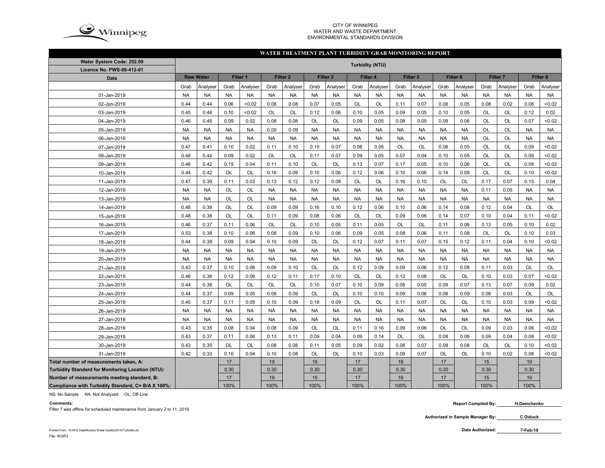

#### CITY OF WINNIPEG WATER AND WASTE DEPARTMENTENVIRONMENTAL STANDARDS DIVISION

#### **WATER TREATMENT PLANT TURBIDITY GRAB MONITORING REPORT**

| Water System Code: 252.00                          | <b>Turbidity (NTU)</b> |                  |           |           |           |                     |           |           |           |           |           |           |                     |           |           |           |           |           |
|----------------------------------------------------|------------------------|------------------|-----------|-----------|-----------|---------------------|-----------|-----------|-----------|-----------|-----------|-----------|---------------------|-----------|-----------|-----------|-----------|-----------|
| <b>Licence No. PWS-09-412-01</b>                   |                        |                  |           |           |           |                     |           |           |           |           |           |           |                     |           |           |           |           |           |
| <b>Date</b>                                        |                        | <b>Raw Water</b> | Filter 1  |           |           | Filter <sub>2</sub> |           | Filter 3  |           | Filter 4  |           | Filter 5  | Filter <sub>6</sub> |           | Filter 7  |           |           | Filter 8  |
|                                                    | Grab                   | Analyser         | Grab      | Analyser  | Grab      | Analyser            | Grab      | Analyser  | Grab      | Analyser  | Grab      | Analyser  | Grab                | Analyser  | Grab      | Analyser  | Grab      | Analyser  |
| 01-Jan-2019                                        | <b>NA</b>              | <b>NA</b>        | <b>NA</b> | <b>NA</b> | <b>NA</b> | <b>NA</b>           | <b>NA</b> | <b>NA</b> | <b>NA</b> | <b>NA</b> | <b>NA</b> | <b>NA</b> | <b>NA</b>           | <b>NA</b> | <b>NA</b> | <b>NA</b> | <b>NA</b> | <b>NA</b> |
| 02-Jan-2019                                        | 0.44                   | 0.44             | 0.06      | <0.02     | 0.08      | 0.08                | 0.07      | 0.05      | OL        | OL        | 0.11      | 0.07      | 0.08                | 0.05      | 0.08      | 0.02      | 0.08      | < 0.02    |
| 03-Jan-2019                                        | 0.45                   | 0.46             | 0.10      | <0.02     | OL        | OL                  | 0.12      | 0.06      | 0.10      | 0.05      | 0.09      | 0.05      | 0.10                | 0.05      | OL        | OL        | 0.12      | 0.02      |
| 04-Jan-2019                                        | 0.46                   | 0.45             | 0.09      | 0.02      | 0.08      | 0.08                | <b>OL</b> | <b>OL</b> | 0.09      | 0.05      | 0.08      | 0.05      | 0.09                | 0.06      | OL        | <b>OL</b> | 0.07      | < 0.02    |
| 05-Jan-2019                                        | <b>NA</b>              | <b>NA</b>        | <b>NA</b> | <b>NA</b> | 0.09      | 0.09                | <b>NA</b> | <b>NA</b> | <b>NA</b> | <b>NA</b> | <b>NA</b> | <b>NA</b> | <b>NA</b>           | <b>NA</b> | OL        | <b>OL</b> | <b>NA</b> | <b>NA</b> |
| 06-Jan-2019                                        | <b>NA</b>              | <b>NA</b>        | <b>NA</b> | <b>NA</b> | <b>NA</b> | <b>NA</b>           | <b>NA</b> | <b>NA</b> | <b>NA</b> | <b>NA</b> | <b>NA</b> | <b>NA</b> | <b>NA</b>           | <b>NA</b> | OL        | <b>OL</b> | <b>NA</b> | <b>NA</b> |
| 07-Jan-2019                                        | 0.47                   | 0.41             | 0.10      | 0.02      | 0.11      | 0.10                | 0.10      | 0.07      | 0.08      | 0.05      | <b>OL</b> | OL        | 0.08                | 0.05      | OL        | <b>OL</b> | 0.09      | < 0.02    |
| 08-Jan-2019                                        | 0.48                   | 0.44             | 0.09      | 0.02      | OL        | <b>OL</b>           | 0.11      | 0.07      | 0.09      | 0.05      | 0.07      | 0.04      | 0.10                | 0.05      | OL        | OL        | 0.09      | < 0.02    |
| 09-Jan-2019                                        | 0.48                   | 0.42             | 0.15      | 0.04      | 0.11      | 0.10                | <b>OL</b> | OL        | 0.13      | 0.07      | 0.17      | 0.05      | 0.10                | 0.06      | OL        | OL        | 0.08      | < 0.02    |
| 10-Jan-2019                                        | 0.44                   | 0.42             | <b>OL</b> | <b>OL</b> | 0.16      | 0.09                | 0.10      | 0.06      | 0.12      | 0.06      | 0.10      | 0.06      | 0.14                | 0.09      | <b>OL</b> | <b>OL</b> | 0.10      | < 0.02    |
| 11-Jan-2019                                        | 0.47                   | 0.39             | 0.11      | 0.03      | 0.13      | 0.12                | 0.12      | 0.08      | <b>OL</b> | OL        | 0.16      | 0.10      | <b>OL</b>           | <b>OL</b> | 0.17      | 0.07      | 0.15      | 0.04      |
| 12-Jan-2019                                        | <b>NA</b>              | <b>NA</b>        | OL        | OL        | <b>NA</b> | <b>NA</b>           | <b>NA</b> | <b>NA</b> | <b>NA</b> | <b>NA</b> | <b>NA</b> | <b>NA</b> | <b>NA</b>           | <b>NA</b> | 0.11      | 0.05      | <b>NA</b> | <b>NA</b> |
| 13-Jan-2019                                        | <b>NA</b>              | <b>NA</b>        | OL        | OL        | <b>NA</b> | <b>NA</b>           | <b>NA</b> | <b>NA</b> | <b>NA</b> | <b>NA</b> | <b>NA</b> | <b>NA</b> | <b>NA</b>           | <b>NA</b> | <b>NA</b> | <b>NA</b> | <b>NA</b> | <b>NA</b> |
| 14-Jan-2019                                        | 0.48                   | 0.38             | OL        | OL        | 0.09      | 0.09                | 0.16      | 0.10      | 0.12      | 0.06      | 0.10      | 0.06      | 0.14                | 0.08      | 0.12      | 0.04      | OL        | OL        |
| 15-Jan-2019                                        | 0.48                   | 0.38             | OL        | OL        | 0.11      | 0.09                | 0.08      | 0.06      | OL        | OL        | 0.09      | 0.06      | 0.14                | 0.07      | 0.10      | 0.04      | 0.11      | < 0.02    |
| 16-Jan-2019                                        | 0.46                   | 0.37             | 0.11      | 0.06      | OL        | <b>OL</b>           | 0.10      | 0.05      | 0.11      | 0.05      | OL        | OL        | 0.11                | 0.08      | 0.13      | 0.05      | 0.10      | 0.02      |
| 17-Jan-2019                                        | 0.53                   | 0.38             | 0.10      | 0.06      | 0.08      | 0.09                | 0.10      | 0.06      | 0.09      | 0.05      | 0.08      | 0.06      | 0.11                | 0.08      | <b>OL</b> | OL        | 0.10      | 0.03      |
| 18-Jan-2019                                        | 0.44                   | 0.38             | 0.09      | 0.04      | 0.10      | 0.09                | <b>OL</b> | OL        | 0.12      | 0.07      | 0.11      | 0.07      | 0.15                | 0.12      | 0.11      | 0.04      | 0.10      | < 0.02    |
| 19-Jan-2019                                        | <b>NA</b>              | <b>NA</b>        | <b>NA</b> | <b>NA</b> | <b>NA</b> | <b>NA</b>           | <b>NA</b> | <b>NA</b> | <b>NA</b> | <b>NA</b> | <b>NA</b> | <b>NA</b> | <b>NA</b>           | <b>NA</b> | <b>NA</b> | <b>NA</b> | <b>NA</b> | <b>NA</b> |
| 20-Jan-2019                                        | <b>NA</b>              | <b>NA</b>        | <b>NA</b> | <b>NA</b> | <b>NA</b> | <b>NA</b>           | <b>NA</b> | <b>NA</b> | <b>NA</b> | <b>NA</b> | <b>NA</b> | <b>NA</b> | <b>NA</b>           | <b>NA</b> | <b>NA</b> | <b>NA</b> | <b>NA</b> | <b>NA</b> |
| 21-Jan-2019                                        | 0.43                   | 0.37             | 0.10      | 0.06      | 0.09      | 0.10                | <b>OL</b> | OL        | 0.12      | 0.09      | 0.09      | 0.06      | 0.12                | 0.08      | 0.11      | 0.03      | OL        | OL        |
| 22-Jan-2019                                        | 0.46                   | 0.36             | 0.12      | 0.06      | 0.12      | 0.11                | 0.17      | 0.10      | <b>OL</b> | <b>OL</b> | 0.12      | 0.08      | <b>OL</b>           | <b>OL</b> | 0.10      | 0.03      | 0.07      | < 0.02    |
| 23-Jan-2019                                        | 0.44                   | 0.38             | <b>OL</b> | <b>OL</b> | <b>OL</b> | <b>OL</b>           | 0.10      | 0.07      | 0.10      | 0.09      | 0.08      | 0.05      | 0.09                | 0.07      | 0.13      | 0.07      | 0.09      | 0.02      |
| 24-Jan-2019                                        | 0.44                   | 0.37             | 0.09      | 0.05      | 0.08      | 0.09                | <b>OL</b> | <b>OL</b> | 0.10      | 0.10      | 0.09      | 0.06      | 0.08                | 0.09      | 0.08      | 0.03      | <b>OL</b> | <b>OL</b> |
| 25-Jan-2019                                        | 0.45                   | 0.37             | 0.11      | 0.05      | 0.10      | 0.09                | 0.18      | 0.09      | OL        | OL        | 0.11      | 0.07      | OL                  | <b>OL</b> | 0.10      | 0.03      | 0.09      | < 0.02    |
| 26-Jan-2019                                        | <b>NA</b>              | <b>NA</b>        | <b>NA</b> | <b>NA</b> | <b>NA</b> | <b>NA</b>           | <b>NA</b> | <b>NA</b> | <b>NA</b> | <b>NA</b> | <b>NA</b> | <b>NA</b> | <b>NA</b>           | <b>NA</b> | <b>NA</b> | <b>NA</b> | <b>NA</b> | <b>NA</b> |
| 27-Jan-2019                                        | <b>NA</b>              | <b>NA</b>        | <b>NA</b> | <b>NA</b> | <b>NA</b> | <b>NA</b>           | <b>NA</b> | <b>NA</b> | <b>NA</b> | <b>NA</b> | <b>NA</b> | <b>NA</b> | <b>NA</b>           | <b>NA</b> | <b>NA</b> | <b>NA</b> | <b>NA</b> | <b>NA</b> |
| 28-Jan-2019                                        | 0.43                   | 0.35             | 0.08      | 0.04      | 0.08      | 0.09                | <b>OL</b> | <b>OL</b> | 0.11      | 0.16      | 0.09      | 0.06      | <b>OL</b>           | <b>OL</b> | 0.09      | 0.03      | 0.06      | < 0.02    |
| 29-Jan-2019                                        | 0.43                   | 0.37             | 0.11      | 0.06      | 0.13      | 0.11                | 0.09      | 0.04      | 0.09      | 0.14      | <b>OL</b> | OL        | 0.08                | 0.08      | 0.09      | 0.04      | 0.08      | < 0.02    |
| 30-Jan-2019                                        | 0.43                   | 0.35             | <b>OL</b> | <b>OL</b> | 0.08      | 0.08                | 0.11      | 0.05      | 0.09      | 0.02      | 0.08      | 0.07      | 0.09                | 0.08      | <b>OL</b> | <b>OL</b> | 0.10      | < 0.02    |
| 31-Jan-2019                                        | 0.42                   | 0.33             | 0.10      | 0.04      | 0.10      | 0.08                | OL        | OL        | 0.10      | 0.03      | 0.09      | 0.07      | OL                  | OL        | 0.10      | 0.02      | 0.08      | < 0.02    |
| Total number of measurements taken, A:             |                        |                  | 17        |           | 19        |                     | 15        |           | 17        |           | 19        |           | 17                  |           | 15        |           | 19        |           |
| Turbidity Standard for Monitoring Location (NTU):  |                        |                  | 0.30      |           | 0.30      |                     | 0.30      |           | 0.30      |           | 0.30      |           | 0.30                |           | 0.30      |           | 0.30      |           |
| Number of measurements meeting standard, B:        |                        |                  | 17        |           | 19        |                     | 15        |           | 17        |           | 19        |           | 17                  |           | 15        |           | 19        |           |
| Compliance with Turbidity Standard, C= B/A X 100%: |                        |                  | 100%      |           | 100%      |                     | 100%      |           | 100%      |           | 100%      |           | 100%                |           | 100%      |           | 100%      |           |

NS: No Sample NA: Not Analyzed OL: Off-Line

#### **Comments:**

Filter 7 was offline for scheduled maintenance from January 2 to 11, 2019.

**Authorized in Sample Manager By: C.Diduck**

**7-Feb-19**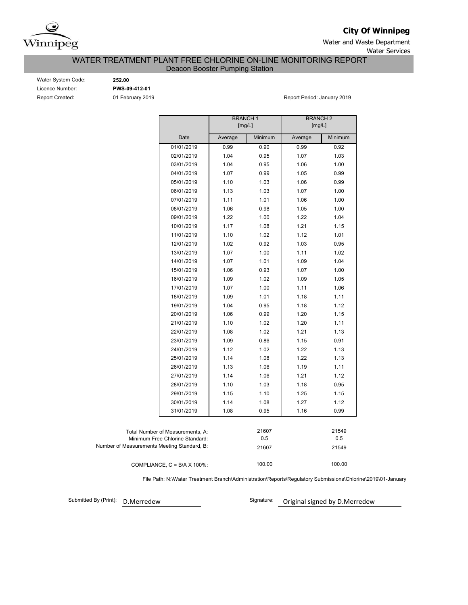

**City Of Winnipeg**

Water and Waste Department Water Services

## WATER TREATMENT PLANT FREE CHLORINE ON-LINE MONITORING REPORT Deacon Booster Pumping Station

Water System Code: **252.00** Licence Number: **PWS-09-412-01**

Report Created: **01 February 2019 Report Period: January 2019** Report Period: January 2019

|                                                                     | <b>BRANCH1</b><br>[mg/L] |              | <b>BRANCH2</b><br>[mg/L] |              |  |  |  |  |
|---------------------------------------------------------------------|--------------------------|--------------|--------------------------|--------------|--|--|--|--|
|                                                                     |                          |              |                          |              |  |  |  |  |
| Date                                                                | Average                  | Minimum      | Average                  | Minimum      |  |  |  |  |
| 01/01/2019                                                          | 0.99                     | 0.90         | 0.99                     | 0.92         |  |  |  |  |
| 02/01/2019                                                          | 1.04                     | 0.95         | 1.07                     | 1.03         |  |  |  |  |
| 03/01/2019                                                          | 1.04                     | 0.95         | 1.06                     | 1.00         |  |  |  |  |
| 04/01/2019                                                          | 1.07                     | 0.99         | 1.05                     | 0.99         |  |  |  |  |
| 05/01/2019                                                          | 1.10                     | 1.03         | 1.06                     | 0.99         |  |  |  |  |
| 06/01/2019                                                          | 1.13                     | 1.03         | 1.07                     | 1.00         |  |  |  |  |
| 07/01/2019                                                          | 1.11                     | 1.01         | 1.06                     | 1.00         |  |  |  |  |
| 08/01/2019                                                          | 1.06                     | 0.98         | 1.05                     | 1.00         |  |  |  |  |
| 09/01/2019                                                          | 1.22                     | 1.00         | 1.22                     | 1.04         |  |  |  |  |
| 10/01/2019                                                          | 1.17                     | 1.08         | 1.21                     | 1.15         |  |  |  |  |
| 11/01/2019                                                          | 1.10                     | 1.02         | 1.12                     | 1.01         |  |  |  |  |
| 12/01/2019                                                          | 1.02                     | 0.92         | 1.03                     | 0.95         |  |  |  |  |
| 13/01/2019                                                          | 1.07                     | 1.00         | 1.11                     | 1.02         |  |  |  |  |
| 14/01/2019                                                          | 1.07                     | 1.01         | 1.09                     | 1.04         |  |  |  |  |
| 15/01/2019                                                          | 1.06                     | 0.93         | 1.07                     | 1.00         |  |  |  |  |
| 16/01/2019                                                          | 1.09                     | 1.02         | 1.09                     | 1.05         |  |  |  |  |
| 17/01/2019                                                          | 1.07                     | 1.00         | 1.11                     | 1.06         |  |  |  |  |
| 18/01/2019                                                          | 1.09                     | 1.01         | 1.18                     | 1.11         |  |  |  |  |
| 19/01/2019                                                          | 1.04                     | 0.95         | 1.18                     | 1.12         |  |  |  |  |
| 20/01/2019                                                          | 1.06                     | 0.99         | 1.20                     | 1.15         |  |  |  |  |
| 21/01/2019                                                          | 1.10                     | 1.02         | 1.20                     | 1.11         |  |  |  |  |
| 22/01/2019                                                          | 1.08                     | 1.02         | 1.21                     | 1.13         |  |  |  |  |
| 23/01/2019                                                          | 1.09                     | 0.86         | 1.15                     | 0.91         |  |  |  |  |
| 24/01/2019                                                          | 1.12                     | 1.02         | 1.22                     | 1.13         |  |  |  |  |
| 25/01/2019                                                          | 1.14                     | 1.08         | 1.22                     | 1.13         |  |  |  |  |
| 26/01/2019                                                          | 1.13                     | 1.06         | 1.19                     | 1.11         |  |  |  |  |
| 27/01/2019                                                          | 1.14                     | 1.06         | 1.21                     | 1.12         |  |  |  |  |
| 28/01/2019                                                          | 1.10                     | 1.03         | 1.18                     | 0.95         |  |  |  |  |
| 29/01/2019                                                          | 1.15                     | 1.10         | 1.25                     | 1.15         |  |  |  |  |
| 30/01/2019                                                          | 1.14                     | 1.08         | 1.27                     | 1.12         |  |  |  |  |
| 31/01/2019                                                          | 1.08                     | 0.95         | 1.16                     | 0.99         |  |  |  |  |
|                                                                     |                          |              |                          |              |  |  |  |  |
|                                                                     |                          |              |                          |              |  |  |  |  |
| Total Number of Measurements, A:<br>Minimum Free Chlorine Standard: |                          | 21607<br>0.5 |                          | 21549<br>0.5 |  |  |  |  |
| Number of Measurements Meeting Standard, B:                         |                          | 21607        |                          | 21549        |  |  |  |  |
|                                                                     |                          |              |                          |              |  |  |  |  |
| COMPLIANCE, $C = B/A \times 100\%$ :                                |                          | 100.00       |                          | 100.00       |  |  |  |  |

File Path: N:\Water Treatment Branch\Administration\Reports\Regulatory Submissions\Chlorine\2019\01-January

Submitted By (Print):

D.Merredew **D.Merredew** Signature: Original signed by D.Merredew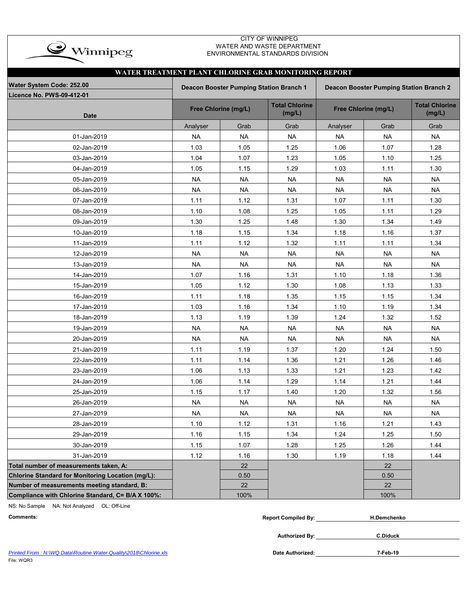

### CITY OF WINNIPEG WATER AND WASTE DEPARTMENT ENVIRONMENTAL STANDARDS DIVISION

| WATER TREATMENT PLANT CHLORINE GRAB MONITORING REPORT |                                                                                           |                      |                                 |           |                      |                                 |  |  |  |  |  |  |  |
|-------------------------------------------------------|-------------------------------------------------------------------------------------------|----------------------|---------------------------------|-----------|----------------------|---------------------------------|--|--|--|--|--|--|--|
| Water System Code: 252.00                             | <b>Deacon Booster Pumping Station Branch 1</b><br>Deacon Booster Pumping Station Branch 2 |                      |                                 |           |                      |                                 |  |  |  |  |  |  |  |
| <b>Licence No. PWS-09-412-01</b>                      |                                                                                           |                      |                                 |           |                      |                                 |  |  |  |  |  |  |  |
| <b>Date</b>                                           |                                                                                           | Free Chlorine (mg/L) | <b>Total Chlorine</b><br>(mg/L) |           | Free Chlorine (mg/L) | <b>Total Chlorine</b><br>(mg/L) |  |  |  |  |  |  |  |
|                                                       | Analyser                                                                                  | Grab                 | Grab                            | Analyser  | Grab                 | Grab                            |  |  |  |  |  |  |  |
| 01-Jan-2019                                           | <b>NA</b>                                                                                 | <b>NA</b>            | <b>NA</b>                       | <b>NA</b> | <b>NA</b>            | <b>NA</b>                       |  |  |  |  |  |  |  |
| 02-Jan-2019                                           | 1.03                                                                                      | 1.05                 | 1.25                            | 1.06      | 1.07                 | 1.28                            |  |  |  |  |  |  |  |
| 03-Jan-2019                                           | 1.04                                                                                      | 1.07                 | 1.23                            | 1.05      | 1.10                 | 1.25                            |  |  |  |  |  |  |  |
| 04-Jan-2019                                           | 1.05                                                                                      | 1.15                 | 1.29                            | 1.03      | 1.11                 | 1.30                            |  |  |  |  |  |  |  |
| 05-Jan-2019                                           | <b>NA</b>                                                                                 | <b>NA</b>            | <b>NA</b>                       | <b>NA</b> | <b>NA</b>            | <b>NA</b>                       |  |  |  |  |  |  |  |
| 06-Jan-2019                                           | <b>NA</b>                                                                                 | <b>NA</b>            | <b>NA</b>                       | <b>NA</b> | <b>NA</b>            | <b>NA</b>                       |  |  |  |  |  |  |  |
| 07-Jan-2019                                           | 1.11                                                                                      | 1.12                 | 1.31                            | 1.07      | 1.11                 | 1.30                            |  |  |  |  |  |  |  |
| 08-Jan-2019                                           | 1.10                                                                                      | 1.08                 | 1.25                            | 1.05      | 1.11                 | 1.29                            |  |  |  |  |  |  |  |
| 09-Jan-2019                                           | 1.30                                                                                      | 1.25                 | 1.48                            | 1.30      | 1.34                 | 1.49                            |  |  |  |  |  |  |  |
| 10-Jan-2019                                           | 1.18                                                                                      | 1.15                 | 1.34                            | 1.18      | 1.16                 | 1.37                            |  |  |  |  |  |  |  |
| 11-Jan-2019                                           | 1.11                                                                                      | 1.12                 | 1.32                            | 1.11      | 1.11                 | 1.34                            |  |  |  |  |  |  |  |
| 12-Jan-2019                                           | <b>NA</b>                                                                                 | <b>NA</b>            | <b>NA</b>                       | <b>NA</b> | <b>NA</b>            | <b>NA</b>                       |  |  |  |  |  |  |  |
| 13-Jan-2019                                           | <b>NA</b>                                                                                 | <b>NA</b>            | <b>NA</b>                       | <b>NA</b> | <b>NA</b>            | <b>NA</b>                       |  |  |  |  |  |  |  |
| 14-Jan-2019                                           | 1.07                                                                                      | 1.16                 | 1.31                            | 1.10      | 1.18                 | 1.36                            |  |  |  |  |  |  |  |
| 15-Jan-2019                                           | 1.05                                                                                      | 1.12                 | 1.30                            | 1.08      | 1.13                 | 1.33                            |  |  |  |  |  |  |  |
| 16-Jan-2019                                           | 1.11                                                                                      | 1.18                 | 1.35                            | 1.15      | 1.15                 | 1.34                            |  |  |  |  |  |  |  |
| 17-Jan-2019                                           | 1.03                                                                                      | 1.16                 | 1.34                            | 1.10      | 1.19                 | 1.34                            |  |  |  |  |  |  |  |
| 18-Jan-2019                                           | 1.13                                                                                      | 1.19                 | 1.39                            | 1.24      | 1.32                 | 1.52                            |  |  |  |  |  |  |  |
| 19-Jan-2019                                           | <b>NA</b>                                                                                 | <b>NA</b>            | <b>NA</b>                       | <b>NA</b> | <b>NA</b>            | <b>NA</b>                       |  |  |  |  |  |  |  |
| 20-Jan-2019                                           | <b>NA</b>                                                                                 | <b>NA</b>            | <b>NA</b>                       | <b>NA</b> | <b>NA</b>            | <b>NA</b>                       |  |  |  |  |  |  |  |
| 21-Jan-2019                                           | 1.11                                                                                      | 1.19                 | 1.37                            | 1.20      | 1.24                 | 1.50                            |  |  |  |  |  |  |  |
| 22-Jan-2019                                           | 1.11                                                                                      | 1.14                 | 1.36                            | 1.21      | 1.26                 | 1.46                            |  |  |  |  |  |  |  |
| 23-Jan-2019                                           | 1.06                                                                                      | 1.13                 | 1.33                            | 1.21      | 1.23                 | 1.42                            |  |  |  |  |  |  |  |
| 24-Jan-2019                                           | 1.06                                                                                      | 1.14                 | 1.29                            | 1.14      | 1.21                 | 1.44                            |  |  |  |  |  |  |  |
| 25-Jan-2019                                           | 1.15                                                                                      | 1.17                 | 1.40                            | 1.20      | 1.32                 | 1.56                            |  |  |  |  |  |  |  |
| 26-Jan-2019                                           | <b>NA</b>                                                                                 | <b>NA</b>            | <b>NA</b>                       | <b>NA</b> | <b>NA</b>            | <b>NA</b>                       |  |  |  |  |  |  |  |
| 27-Jan-2019                                           | NA.                                                                                       | NA                   | NA.                             | NA.       | NA                   | NA.                             |  |  |  |  |  |  |  |
| 28-Jan-2019                                           | 1.10                                                                                      | 1.12                 | 1.31                            | 1.16      | 1.21                 | 1.43                            |  |  |  |  |  |  |  |
| 29-Jan-2019                                           | 1.16                                                                                      | 1.15                 | 1.34                            | 1.24      | 1.25                 | 1.50                            |  |  |  |  |  |  |  |
| 30-Jan-2019                                           | 1.15                                                                                      | 1.07                 | 1.28                            | 1.25      | 1.26                 | 1.44                            |  |  |  |  |  |  |  |
| 31-Jan-2019                                           | 1.12                                                                                      | 1.16                 | 1.30                            | 1.19      | 1.18                 | 1.44                            |  |  |  |  |  |  |  |
| Total number of measurements taken, A:                |                                                                                           | 22                   |                                 |           | 22                   |                                 |  |  |  |  |  |  |  |
| Chlorine Standard for Monitoring Location (mg/L):     |                                                                                           | 0.50                 |                                 |           | $0.50\,$             |                                 |  |  |  |  |  |  |  |
| Number of measurements meeting standard, B:           |                                                                                           | 22                   |                                 |           | 22                   |                                 |  |  |  |  |  |  |  |
| Compliance with Chlorine Standard, C= B/A X 100%:     |                                                                                           | 100%                 |                                 |           | 100%                 |                                 |  |  |  |  |  |  |  |

NS: No Sample NA: Not Analyzed OL: Off-Line

| Comments: | .Compiled Bv:<br>Renor | H.Demchenko |
|-----------|------------------------|-------------|
|           |                        |             |

*Printed From : N:\WQ Data\Routine Water Quality\2018\Chlorine.xls* **Date Authorized:**

File: WQR3

**Authorized By:**

**7-Feb-19**

**C.Diduck**